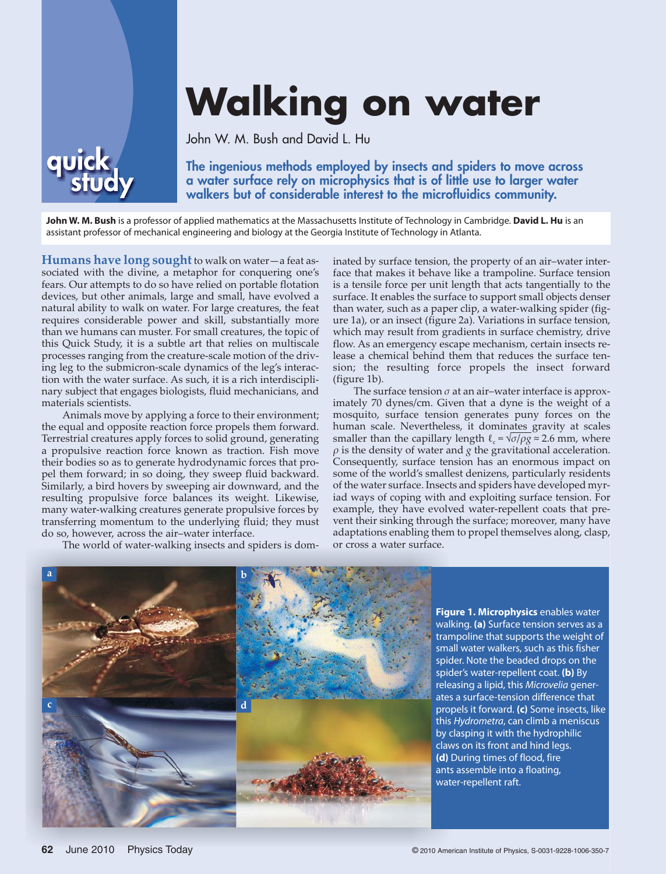## **Walking on water**

John W. M. Bush and David L. Hu

The ingenious methods employed by insects and spiders to move across a water surface rely on microphysics that is of little use to larger water walkers but of considerable interest to the microfluidics community.

**John W. M. Bush** is a professor of applied mathematics at the Massachusetts Institute of Technology in Cambridge. **David L. Hu** is an assistant professor of mechanical engineering and biology at the Georgia Institute of Technology in Atlanta.

**Humans have long sought**to walk on water—a feat associated with the divine, a metaphor for conquering one's fears. Our attempts to do so have relied on portable flotation devices, but other animals, large and small, have evolved a natural ability to walk on water. For large creatures, the feat requires considerable power and skill, substantially more than we humans can muster. For small creatures, the topic of this Quick Study, it is a subtle art that relies on multiscale processes ranging from the creature-scale motion of the driving leg to the submicron-scale dynamics of the leg's interaction with the water surface. As such, it is a rich interdisciplinary subject that engages biologists, fluid mechanicians, and materials scientists.

Animals move by applying a force to their environment; the equal and opposite reaction force propels them forward. Terrestrial creatures apply forces to solid ground, generating a propulsive reaction force known as traction. Fish move their bodies so as to generate hydrodynamic forces that propel them forward; in so doing, they sweep fluid backward. Similarly, a bird hovers by sweeping air downward, and the resulting propulsive force balances its weight. Likewise, many water-walking creatures generate propulsive forces by transferring momentum to the underlying fluid; they must do so, however, across the air–water interface.

The world of water-walking insects and spiders is dom-

inated by surface tension, the property of an air–water interface that makes it behave like a trampoline. Surface tension is a tensile force per unit length that acts tangentially to the surface. It enables the surface to support small objects denser than water, such as a paper clip, a water-walking spider (figure 1a), or an insect (figure 2a). Variations in surface tension, which may result from gradients in surface chemistry, drive flow. As an emergency escape mechanism, certain insects release a chemical behind them that reduces the surface tension; the resulting force propels the insect forward (figure 1b).

The surface tension  $\sigma$  at an air–water interface is approximately 70 dynes/cm. Given that a dyne is the weight of a mosquito, surface tension generates puny forces on the human scale. Nevertheless, it dominates gravity at scales smaller than the capillary length  $\ell_c = \sqrt{\sigma/\rho g} \approx 2.6$  mm, where *ρ* is the density of water and *g* the gravitational acceleration. Consequently, surface tension has an enormous impact on some of the world's smallest denizens, particularly residents of the water surface. Insects and spiders have developed myriad ways of coping with and exploiting surface tension. For example, they have evolved water-repellent coats that prevent their sinking through the surface; moreover, many have adaptations enabling them to propel themselves along, clasp, or cross a water surface.



**Figure 1. Microphysics** enables water walking. **(a)** Surface tension serves as a trampoline that supports the weight of small water walkers, such as this fisher spider. Note the beaded drops on the spider's water-repellent coat. **(b)** By releasing a lipid, this *Microvelia* generates a surface-tension difference that propels it forward. **(c)** Some insects, like this *Hydrometra*, can climb a meniscus by clasping it with the hydrophilic claws on its front and hind legs. **(d)** During times of flood, fire ants assemble into a floating, water-repellent raft.